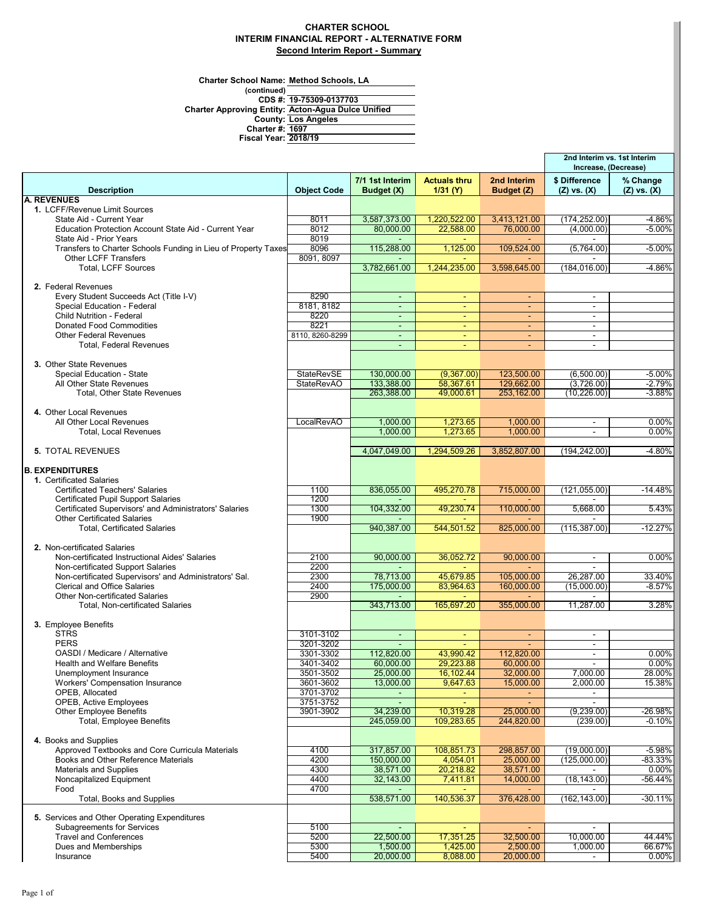### **CHARTER SCHOOL INTERIM FINANCIAL REPORT - ALTERNATIVE FORM Second Interim Report - Summary**

**Charter School Name: Method Schools, LA**

| Charter School Name: Method Schools. LA |                                                    |
|-----------------------------------------|----------------------------------------------------|
| (continued)                             |                                                    |
|                                         | CDS #: 19-75309-0137703                            |
|                                         | Charter Approving Entity: Acton-Agua Dulce Unified |
|                                         | <b>County: Los Angeles</b>                         |
| <b>Charter #: 1697</b>                  |                                                    |
| <b>Fiscal Year: 2018/19</b>             |                                                    |
|                                         |                                                    |

|                                                                                              |                    |                               |                                 |                           | 2nd Interim vs. 1st Interim<br>Increase, (Decrease) |                             |
|----------------------------------------------------------------------------------------------|--------------------|-------------------------------|---------------------------------|---------------------------|-----------------------------------------------------|-----------------------------|
| <b>Description</b>                                                                           | <b>Object Code</b> | 7/1 1st Interim<br>Budget (X) | <b>Actuals thru</b><br>1/31 (Y) | 2nd Interim<br>Budget (Z) | \$ Difference<br>$(Z)$ vs. $(X)$                    | % Change<br>$(Z)$ vs. $(X)$ |
| <b>A. REVENUES</b>                                                                           |                    |                               |                                 |                           |                                                     |                             |
| 1. LCFF/Revenue Limit Sources                                                                |                    |                               |                                 |                           |                                                     |                             |
| State Aid - Current Year                                                                     | 8011               | 3,587,373.00                  | 1,220,522.00                    | 3,413,121.00              | (174, 252.00)                                       | $-4.86%$                    |
| Education Protection Account State Aid - Current Year                                        | 8012               | 80,000.00                     | 22,588.00                       | 76.000.00                 | (4,000.00)                                          | $-5.00%$                    |
| State Aid - Prior Years                                                                      | 8019               |                               | $\sim$                          |                           |                                                     |                             |
| Transfers to Charter Schools Funding in Lieu of Property Taxes                               | 8096               | 115,288.00                    | 1,125.00                        | 109,524.00                | (5,764.00)                                          | $-5.00%$                    |
| <b>Other LCFF Transfers</b>                                                                  | 8091, 8097         |                               |                                 |                           |                                                     |                             |
| <b>Total, LCFF Sources</b>                                                                   |                    | 3,782,661.00                  | 1,244,235.00                    | 3,598,645.00              | (184, 016.00)                                       | $-4.86%$                    |
| 2. Federal Revenues                                                                          |                    |                               |                                 |                           |                                                     |                             |
| Every Student Succeeds Act (Title I-V)                                                       | 8290               | $\sim$                        | ٠                               | ۰.                        | $\blacksquare$                                      |                             |
| Special Education - Federal                                                                  | 8181, 8182         | ä,                            | ٠                               | ٠                         | $\blacksquare$                                      |                             |
| <b>Child Nutrition - Federal</b>                                                             | 8220               | ÷.                            | $\equiv$                        | Ξ                         | $\sim$                                              |                             |
| <b>Donated Food Commodities</b>                                                              | 8221               | $\blacksquare$                | $\blacksquare$                  | $\omega$                  | $\sim$                                              |                             |
| <b>Other Federal Revenues</b>                                                                | 8110, 8260-8299    | $\sim$                        | ٠                               | $\sim$                    | $\blacksquare$                                      |                             |
| Total, Federal Revenues                                                                      |                    | $\overline{\phantom{a}}$      |                                 | ٠                         | ٠                                                   |                             |
|                                                                                              |                    |                               |                                 |                           |                                                     |                             |
| 3. Other State Revenues                                                                      |                    |                               |                                 |                           |                                                     |                             |
| Special Education - State                                                                    | <b>StateRevSE</b>  | 130,000.00                    | (9,367.00)                      | 123,500.00                | (6,500.00)                                          | $-5.00%$                    |
| All Other State Revenues                                                                     | <b>StateRevAO</b>  | 133,388.00                    | 58,367.61                       | 129,662.00                | (3,726.00)                                          | $-2.79%$<br>$-3.88%$        |
| <b>Total, Other State Revenues</b>                                                           |                    | 263,388.00                    | 49,000.61                       | 253,162.00                | (10, 226.00)                                        |                             |
| 4. Other Local Revenues                                                                      |                    |                               |                                 |                           |                                                     |                             |
| All Other Local Revenues                                                                     | LocalRevAO         | 1,000.00                      | 1,273.65                        | 1,000.00                  | $\blacksquare$                                      | 0.00%                       |
| <b>Total, Local Revenues</b>                                                                 |                    | 1,000.00                      | 1,273.65                        | 1.000.00                  | $\sim$                                              | $0.00\%$                    |
|                                                                                              |                    |                               |                                 |                           |                                                     |                             |
| <b>5. TOTAL REVENUES</b>                                                                     |                    | 4,047,049.00                  | 1,294,509.26                    | 3,852,807.00              | (194, 242.00)                                       | $-4.80%$                    |
|                                                                                              |                    |                               |                                 |                           |                                                     |                             |
| <b>B. EXPENDITURES</b>                                                                       |                    |                               |                                 |                           |                                                     |                             |
| 1. Certificated Salaries                                                                     |                    |                               |                                 |                           |                                                     |                             |
| <b>Certificated Teachers' Salaries</b>                                                       | 1100               | 836,055.00                    | 495,270.78                      | 715,000.00                | (121, 055.00)                                       | $-14.48%$                   |
| <b>Certificated Pupil Support Salaries</b>                                                   | 1200               |                               |                                 |                           |                                                     |                             |
| Certificated Supervisors' and Administrators' Salaries<br><b>Other Certificated Salaries</b> | 1300<br>1900       | 104,332.00                    | 49,230.74                       | 110,000.00                | 5,668.00                                            | 5.43%                       |
| <b>Total, Certificated Salaries</b>                                                          |                    | 940,387.00                    | 544,501.52                      | 825,000.00                | (115, 387.00)                                       | $-12.27%$                   |
|                                                                                              |                    |                               |                                 |                           |                                                     |                             |
| 2. Non-certificated Salaries                                                                 |                    |                               |                                 |                           |                                                     |                             |
| Non-certificated Instructional Aides' Salaries                                               | 2100               | 90,000.00                     | 36,052.72                       | 90,000.00                 | $\overline{\phantom{a}}$                            | 0.00%                       |
| Non-certificated Support Salaries                                                            | 2200               | $\sim$                        | $\sim$                          | $\sim$                    | $\sim$                                              |                             |
| Non-certificated Supervisors' and Administrators' Sal.                                       | 2300               | 78,713.00                     | 45,679.85                       | 105,000.00                | 26,287.00                                           | 33.40%                      |
| <b>Clerical and Office Salaries</b>                                                          | 2400               | 175,000.00                    | 83,964.63                       | 160,000.00                | (15,000.00)                                         | $-8.57%$                    |
| <b>Other Non-certificated Salaries</b>                                                       | 2900               |                               |                                 |                           |                                                     |                             |
| Total, Non-certificated Salaries                                                             |                    | 343,713.00                    | 165,697.20                      | 355,000.00                | 11,287.00                                           | 3.28%                       |
|                                                                                              |                    |                               |                                 |                           |                                                     |                             |
| 3. Employee Benefits<br><b>STRS</b>                                                          | 3101-3102          |                               |                                 |                           | $\blacksquare$                                      |                             |
| <b>PERS</b>                                                                                  | 3201-3202          | $\sim$                        | ٠                               | $\sim$                    | $\overline{\phantom{a}}$                            |                             |
| OASDI / Medicare / Alternative                                                               | 3301-3302          | 112,820.00                    | 43,990.42                       | 112,820.00                | $\overline{\phantom{a}}$                            | 0.00%                       |
| <b>Health and Welfare Benefits</b>                                                           | 3401-3402          | 60,000.00                     | 29,223.88                       | 60,000.00                 | $\blacksquare$                                      | $0.00\%$                    |
| Unemployment Insurance                                                                       | 3501-3502          | 25,000.00                     | 16,102.44                       | 32,000.00                 | 7,000.00                                            | 28.00%                      |
| Workers' Compensation Insurance                                                              | 3601-3602          | 13,000.00                     | 9,647.63                        | 15,000.00                 | 2,000.00                                            | 15.38%                      |
| OPEB, Allocated                                                                              | 3701-3702          |                               |                                 | ٠                         |                                                     |                             |
| <b>OPEB, Active Employees</b>                                                                | 3751-3752          |                               |                                 |                           |                                                     |                             |
| <b>Other Employee Benefits</b>                                                               | 3901-3902          | 34,239.00                     | 10,319.28                       | 25,000.00                 | (9,239.00)                                          | $-26.98%$                   |
| Total, Employee Benefits                                                                     |                    | 245,059.00                    | 109,283.65                      | 244,820.00                | (239.00)                                            | $-0.10%$                    |
|                                                                                              |                    |                               |                                 |                           |                                                     |                             |
| 4. Books and Supplies                                                                        |                    |                               |                                 |                           |                                                     |                             |
| Approved Textbooks and Core Curricula Materials<br>Books and Other Reference Materials       | 4100<br>4200       | 317,857.00                    | 108,851.73                      | 298,857.00<br>25,000.00   | (19,000.00)<br>(125,000.00)                         | $-5.98%$                    |
| <b>Materials and Supplies</b>                                                                | 4300               | 150,000.00<br>38,571.00       | 4,054.01<br>20,218.82           | 38,571.00                 |                                                     | -83.33%<br>0.00%            |
| Noncapitalized Equipment                                                                     | 4400               | 32,143.00                     | 7,411.81                        | 14,000.00                 | (18, 143.00)                                        | -56.44%                     |
| Food                                                                                         | 4700               |                               |                                 |                           |                                                     |                             |
| Total, Books and Supplies                                                                    |                    | 538,571.00                    | 140,536.37                      | 376,428.00                | (162, 143.00)                                       | $-30.11%$                   |
|                                                                                              |                    |                               |                                 |                           |                                                     |                             |
| 5. Services and Other Operating Expenditures                                                 |                    |                               |                                 |                           |                                                     |                             |
| <b>Subagreements for Services</b>                                                            | 5100               |                               |                                 |                           |                                                     |                             |
| <b>Travel and Conferences</b>                                                                | 5200               | 22,500.00                     | 17,351.25                       | 32,500.00                 | 10,000.00                                           | 44.44%                      |
| Dues and Memberships                                                                         | 5300               | 1,500.00                      | 1,425.00                        | 2,500.00                  | 1,000.00                                            | 66.67%                      |
| Insurance                                                                                    | 5400               | 20,000.00                     | 8,088.00                        | 20,000.00                 | $\sim$                                              | 0.00%                       |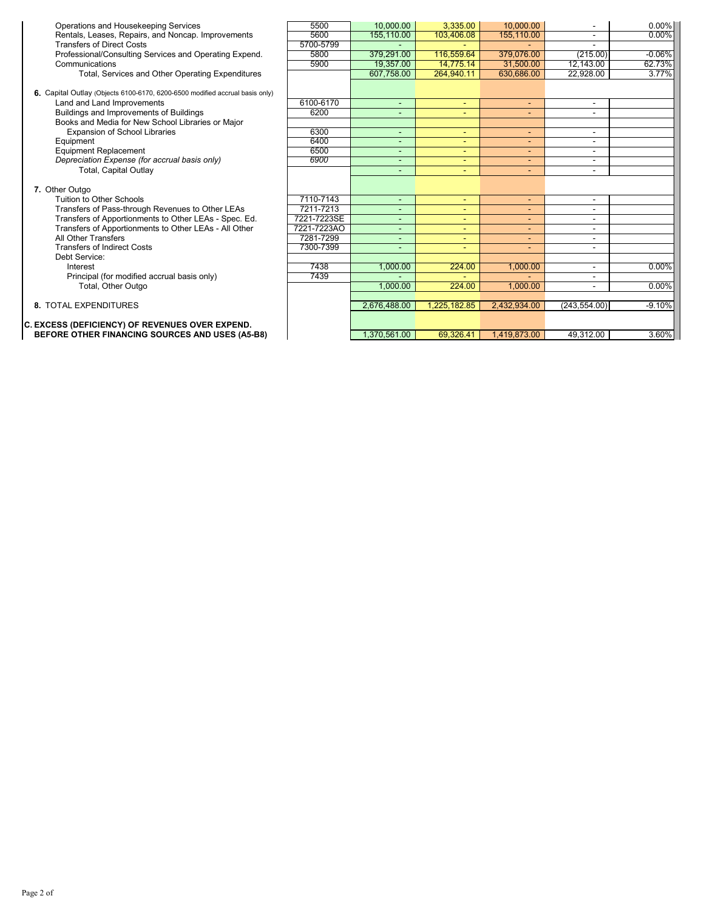| Operations and Housekeeping Services                                         | 5500        | 10,000.00    | 3,335.00                 | 10.000.00    |                          | $0.00\%$ |
|------------------------------------------------------------------------------|-------------|--------------|--------------------------|--------------|--------------------------|----------|
| Rentals, Leases, Repairs, and Noncap. Improvements                           | 5600        | 155,110.00   | 103,406.08               | 155,110.00   |                          | 0.00%    |
| <b>Transfers of Direct Costs</b>                                             | 5700-5799   |              |                          |              |                          |          |
| Professional/Consulting Services and Operating Expend.                       | 5800        | 379.291.00   | 116.559.64               | 379.076.00   | (215.00)                 | $-0.06%$ |
| Communications                                                               | 5900        | 19.357.00    | 14,775.14                | 31,500.00    | 12,143.00                | 62.73%   |
| Total, Services and Other Operating Expenditures                             |             | 607.758.00   | 264.940.11               | 630.686.00   | 22.928.00                | 3.77%    |
|                                                                              |             |              |                          |              |                          |          |
| 6. Capital Outlay (Objects 6100-6170, 6200-6500 modified accrual basis only) |             |              |                          |              |                          |          |
| Land and Land Improvements                                                   | 6100-6170   | ٠            | $\overline{\phantom{a}}$ | $\sim$       | $\overline{a}$           |          |
| Buildings and Improvements of Buildings                                      | 6200        |              |                          |              |                          |          |
| Books and Media for New School Libraries or Major                            |             |              |                          |              |                          |          |
| <b>Expansion of School Libraries</b>                                         | 6300        | ٠            | $\overline{\phantom{a}}$ | ٠            | ٠                        |          |
| Equipment                                                                    | 6400        | ٠            | ٠                        | ٠            |                          |          |
| <b>Equipment Replacement</b>                                                 | 6500        | ۰            | ٠                        | ٠            |                          |          |
| Depreciation Expense (for accrual basis only)                                | 6900        | ÷            | $\overline{\phantom{a}}$ | ٠            | ۰                        |          |
| <b>Total, Capital Outlay</b>                                                 |             |              | $\overline{\phantom{a}}$ |              | ۰                        |          |
|                                                                              |             |              |                          |              |                          |          |
| 7. Other Outgo                                                               |             |              |                          |              |                          |          |
| Tuition to Other Schools                                                     | 7110-7143   | ÷            | $\overline{\phantom{a}}$ | $\sim$       | $\overline{\phantom{a}}$ |          |
| Transfers of Pass-through Revenues to Other LEAs                             | 7211-7213   |              |                          |              | $\blacksquare$           |          |
| Transfers of Apportionments to Other LEAs - Spec. Ed.                        | 7221-7223SE |              |                          |              | ۰                        |          |
| Transfers of Apportionments to Other LEAs - All Other                        | 7221-7223AO |              | $\blacksquare$           | ٠            |                          |          |
| All Other Transfers                                                          | 7281-7299   | ۰            | $\blacksquare$           | ٠            |                          |          |
| <b>Transfers of Indirect Costs</b>                                           | 7300-7399   |              | $\overline{\phantom{a}}$ | ٠            |                          |          |
| Debt Service:                                                                |             |              |                          |              |                          |          |
| Interest                                                                     | 7438        | 1,000.00     | 224.00                   | 1,000.00     | ۰                        | $0.00\%$ |
| Principal (for modified accrual basis only)                                  | 7439        |              |                          |              |                          |          |
| Total, Other Outgo                                                           |             | 1,000.00     | 224.00                   | 1,000.00     | ۰                        | $0.00\%$ |
|                                                                              |             |              |                          |              |                          |          |
| <b>8. TOTAL EXPENDITURES</b>                                                 |             | 2,676,488.00 | 1,225,182.85             | 2.432.934.00 | (243, 554.00)            | $-9.10%$ |
|                                                                              |             |              |                          |              |                          |          |
| C. EXCESS (DEFICIENCY) OF REVENUES OVER EXPEND.                              |             |              |                          |              |                          |          |
| BEFORE OTHER FINANCING SOURCES AND USES (A5-B8)                              |             | 1.370.561.00 | 69.326.41                | 1.419.873.00 | 49.312.00                | 3.60%    |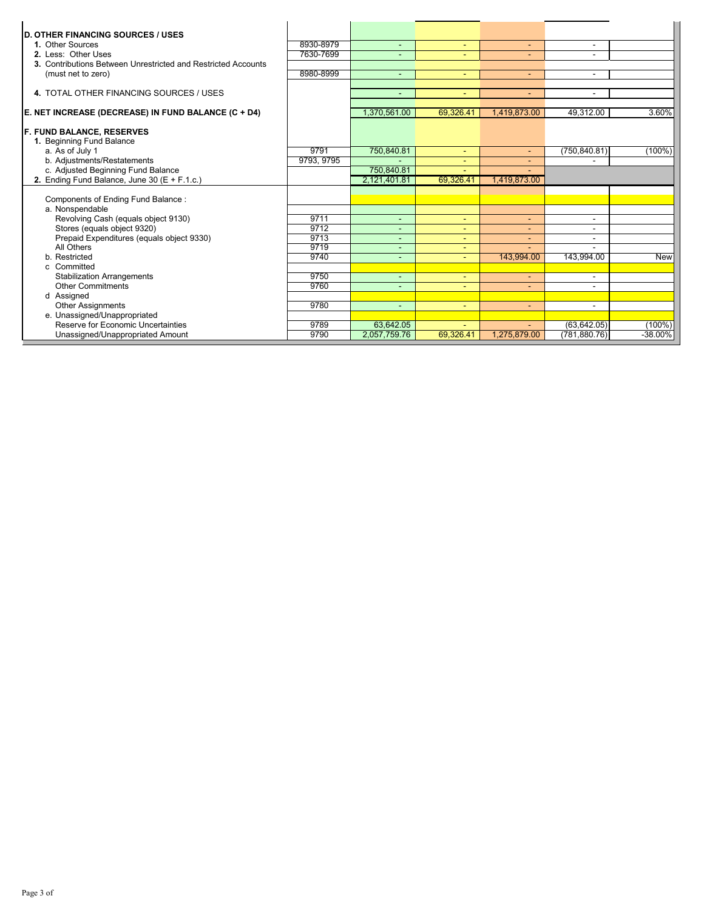| <b>D. OTHER FINANCING SOURCES / USES</b><br>1. Other Sources  | 8930-8979  | $\blacksquare$           | $\overline{\phantom{a}}$ | $\sim$                   | $\overline{\phantom{0}}$ |            |
|---------------------------------------------------------------|------------|--------------------------|--------------------------|--------------------------|--------------------------|------------|
| 2. Less: Other Uses                                           | 7630-7699  |                          | ٠                        |                          |                          |            |
| 3. Contributions Between Unrestricted and Restricted Accounts |            |                          |                          |                          |                          |            |
| (must net to zero)                                            | 8980-8999  |                          | $\overline{\phantom{a}}$ | $\sim$                   |                          |            |
|                                                               |            |                          |                          |                          |                          |            |
| 4. TOTAL OTHER FINANCING SOURCES / USES                       |            | ÷                        | ٠                        | ÷.                       | ۰                        |            |
| E. NET INCREASE (DECREASE) IN FUND BALANCE (C + D4)           |            | 1,370,561.00             | 69,326.41                | 1,419,873.00             | 49,312.00                | 3.60%      |
| <b>F. FUND BALANCE, RESERVES</b>                              |            |                          |                          |                          |                          |            |
| 1. Beginning Fund Balance                                     |            |                          |                          |                          |                          |            |
| a. As of July 1                                               | 9791       | 750,840.81               | $\overline{\phantom{a}}$ | $\overline{\phantom{a}}$ | (750, 840.81)            | $(100\%)$  |
| b. Adjustments/Restatements                                   | 9793, 9795 |                          |                          |                          |                          |            |
| c. Adjusted Beginning Fund Balance                            |            | 750,840.81               |                          |                          |                          |            |
| 2. Ending Fund Balance, June 30 ( $E + F.1.c.$ )              |            | 2,121,401.81             | 69,326.41                | 1,419,873.00             |                          |            |
|                                                               |            |                          |                          |                          |                          |            |
| Components of Ending Fund Balance:                            |            |                          |                          |                          |                          |            |
| a. Nonspendable                                               |            |                          |                          |                          |                          |            |
| Revolving Cash (equals object 9130)                           | 9711       | $\blacksquare$           | ٠                        | ٠                        | $\overline{\phantom{0}}$ |            |
| Stores (equals object 9320)                                   | 9712       |                          | ٠                        |                          | ٠                        |            |
| Prepaid Expenditures (equals object 9330)                     | 9713       |                          | ٠                        |                          | ۰                        |            |
| All Others                                                    | 9719       | -                        |                          |                          |                          |            |
| b. Restricted                                                 | 9740       |                          | ٠                        | 143.994.00               | 143.994.00               | <b>New</b> |
| c Committed                                                   |            |                          |                          |                          |                          |            |
| <b>Stabilization Arrangements</b>                             | 9750       | $\blacksquare$           | ٠                        | ۰.                       | $\overline{\phantom{0}}$ |            |
| <b>Other Commitments</b>                                      | 9760       |                          |                          |                          |                          |            |
| d Assigned                                                    |            |                          |                          |                          |                          |            |
| <b>Other Assignments</b>                                      | 9780       | $\overline{\phantom{a}}$ | $\blacksquare$           | ٠                        | $\overline{\phantom{a}}$ |            |
| e. Unassigned/Unappropriated                                  |            |                          |                          |                          |                          |            |
| Reserve for Economic Uncertainties                            | 9789       | 63.642.05                | $\overline{\phantom{a}}$ |                          | (63, 642.05)             | $(100\%)$  |
| Unassigned/Unappropriated Amount                              | 9790       | 2,057,759.76             | 69,326.41                | 1,275,879.00             | (781, 880.76)            | $-38.00%$  |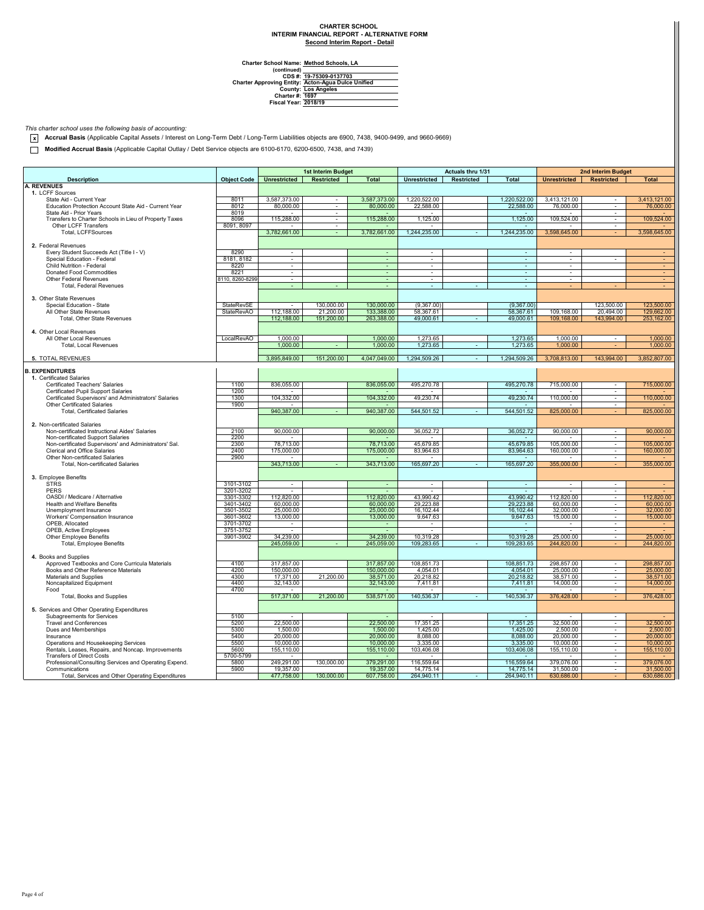### **Second Interim Report - Detail CHARTER SCHOOL INTERIM FINANCIAL REPORT - ALTERNATIVE FORM**

**Method Schools, LA**

**Charter School Name: (continued) CDS #: Charter Approving Entity: County: Charter #: Fiscal Year: 19-75309-0137703 Acton-Agua Dulce Unified Los Angeles 1697 2018/19**

*This charter school uses the following basis of accounting:*

**x Accrual Basis** (Applicable Capital Assets / Interest on Long-Term Debt / Long-Term Liabilities objects are 6900, 7438, 9400-9499, and 9660-9669)

**Modified Accrual Basis** (Applicable Capital Outlay / Debt Service objects are 6100-6170, 6200-6500, 7438, and 7439)

|                                                                                |                        | <b>1st Interim Budget</b> |                   |                          | Actuals thru 1/31                |                   |                          | 2nd Interim Budget       |                                                      |                        |
|--------------------------------------------------------------------------------|------------------------|---------------------------|-------------------|--------------------------|----------------------------------|-------------------|--------------------------|--------------------------|------------------------------------------------------|------------------------|
|                                                                                | <b>Object Code</b>     | <b>Unrestricted</b>       | <b>Restricted</b> | <b>Total</b>             | <b>Unrestricted</b>              | <b>Restricted</b> | <b>Total</b>             |                          |                                                      | <b>Total</b>           |
| <b>Description</b><br><b>A. REVENUES</b>                                       |                        |                           |                   |                          |                                  |                   |                          | <b>Unrestricted</b>      | <b>Restricted</b>                                    |                        |
| 1. LCFF Sources                                                                |                        |                           |                   |                          |                                  |                   |                          |                          |                                                      |                        |
| State Aid - Current Year                                                       | 8011                   | 3,587,373.00              | $\sim$            | 3,587,373.00             | 1,220,522.00                     |                   | 1,220,522.00             | 3,413,121.00             | $\sim$                                               | 3.413.121.00           |
| Education Protection Account State Aid - Current Year                          | 8012                   | 80,000.00                 | ÷                 | 80,000,00                | 22,588.00                        |                   | 22,588.00                | 76,000.00                | $\sim$                                               | 76,000.00              |
| State Aid - Prior Years                                                        | 8019                   |                           | ÷                 |                          |                                  |                   |                          |                          | $\blacksquare$                                       |                        |
| Transfers to Charter Schools in Lieu of Property Taxes<br>Other LCFF Transfers | 8096<br>8091, 8097     | 115,288.00                | $\sim$<br>$\sim$  | 115,288.00<br>$\sim$     | 1,125.00                         |                   | 1,125.00<br>$\sim$       | 109,524.00<br>٠          | $\sim$<br>$\sim$                                     | 109,524.00             |
| Total, LCFFSources                                                             |                        | 3,782,661.00              | $\sim$            | 3,782,661.00             | 1,244,235.00                     |                   | 1,244,235.00             | 3,598,645.00             |                                                      | 3.598.645.00           |
|                                                                                |                        |                           |                   |                          |                                  |                   |                          |                          |                                                      |                        |
| 2. Federal Revenues                                                            |                        |                           |                   |                          |                                  |                   |                          |                          |                                                      |                        |
| Every Student Succeeds Act (Title I - V)                                       | 8290                   | $\bar{\phantom{a}}$       |                   | ÷                        | $\blacksquare$                   |                   | $\blacksquare$           | $\overline{\phantom{a}}$ |                                                      |                        |
| Special Education - Federal                                                    | 8181, 8182             | $\sim$                    |                   |                          | $\sim$                           |                   | $\blacksquare$           | ÷                        |                                                      |                        |
| Child Nutrition - Federal<br>Donated Food Commodities                          | 8220                   | $\overline{\phantom{a}}$  |                   | $\omega$                 | $\overline{\phantom{a}}$         |                   | $\overline{\phantom{a}}$ | $\overline{\phantom{a}}$ |                                                      |                        |
| Other Federal Revenues                                                         | 8221<br>8110, 8260-829 | $\sim$<br>$\sim$          |                   | $\blacksquare$<br>$\sim$ | $\blacksquare$<br>$\blacksquare$ |                   | $\sim$<br>$\omega$       | $\sim$<br>÷              |                                                      | $\sim$                 |
| Total, Federal Revenues                                                        |                        |                           |                   | ÷                        |                                  |                   | $\sim$                   |                          |                                                      |                        |
|                                                                                |                        |                           |                   |                          |                                  |                   |                          |                          |                                                      |                        |
| 3. Other State Revenues                                                        |                        |                           |                   |                          |                                  |                   |                          |                          |                                                      |                        |
| Special Education - State                                                      | StateRevSE             |                           | 130,000.00        | 130,000.00               | (9,367.00)                       |                   | (9,367.00)               |                          | 123,500.00                                           | 123,500.00             |
| All Other State Revenues                                                       | <b>StateRevAO</b>      | 112,188.00                | 21,200.00         | 133,388.00               | 58,367.61                        |                   | 58,367.61                | 109,168.00               | 20,494.00                                            | 129,662.00             |
| Total, Other State Revenues                                                    |                        | 112,188.00                | 151,200.00        | 263,388.00               | 49,000.61                        | $\sim$            | 49,000.61                | 109,168.00               | 143,994.00                                           | 253,162.00             |
| 4. Other Local Revenues                                                        |                        |                           |                   |                          |                                  |                   |                          |                          |                                                      |                        |
| All Other Local Revenues                                                       | LocalRevAO             | 1,000.00                  |                   | 1,000.00                 | 1,273.65                         |                   | 1,273.65                 | 1,000.00                 |                                                      | 1,000.00               |
| Total, Local Revenues                                                          |                        | 1,000.00                  |                   | 1,000.00                 | 1,273.65                         |                   | 1,273.65                 | 1,000.00                 |                                                      | 1,000.00               |
|                                                                                |                        |                           |                   |                          |                                  |                   |                          |                          |                                                      |                        |
| 5. TOTAL REVENUES                                                              |                        | 3,895,849.00              | 151,200.00        | 4,047,049.00             | 1,294,509.26                     | $\sim$            | 1,294,509.26             | 3,708,813.00             | 143,994.00                                           | 3,852,807.00           |
|                                                                                |                        |                           |                   |                          |                                  |                   |                          |                          |                                                      |                        |
| <b>B. EXPENDITURES</b><br>1. Certificated Salaries                             |                        |                           |                   |                          |                                  |                   |                          |                          |                                                      |                        |
| Certificated Teachers' Salaries                                                | 1100                   | 836,055.00                |                   | 836,055.00               | 495,270.78                       |                   | 495,270.78               | 715,000.00               | $\overline{\phantom{a}}$                             | 715,000.00             |
| Certificated Pupil Support Salaries                                            | 1200                   |                           |                   |                          |                                  |                   |                          |                          | $\sim$                                               |                        |
| Certificated Supervisors' and Administrators' Salaries                         | 1300                   | 104,332.00                |                   | 104,332.00               | 49,230.74                        |                   | 49,230.74                | 110,000.00               | $\sim$                                               | 110,000.00             |
| Other Certificated Salaries                                                    | 1900                   |                           |                   |                          |                                  |                   | $\sim$                   |                          | $\sim$                                               |                        |
| <b>Total, Certificated Salaries</b>                                            |                        | 940,387.00                |                   | 940.387.00               | 544,501.52                       |                   | 544,501.52               | 825,000.00               |                                                      | 825,000.00             |
| 2. Non-certificated Salaries                                                   |                        |                           |                   |                          |                                  |                   |                          |                          |                                                      |                        |
| Non-certificated Instructional Aides' Salaries                                 | 2100                   | 90,000.00                 |                   | 90,000.00                | 36,052.72                        |                   | 36,052.72                | 90,000.00                |                                                      | 90,000.00              |
| Non-certificated Support Salaries                                              | 2200                   |                           |                   |                          |                                  |                   |                          |                          | $\sim$                                               |                        |
| Non-certificated Supervisors' and Administrators' Sal.                         | 2300                   | 78,713.00                 |                   | 78,713.00                | 45,679.85                        |                   | 45,679.85                | 105,000.00               | ÷.                                                   | 105,000.00             |
| Clerical and Office Salaries                                                   | 2400                   | 175,000.00                |                   | 175,000.00               | 83,964.63                        |                   | 83,964.63                | 160,000,00               | $\omega$                                             | 160,000.00             |
| Other Non-certificated Salaries                                                | 2900                   |                           |                   |                          |                                  |                   |                          |                          | $\sim$                                               |                        |
| Total, Non-certificated Salaries                                               |                        | 343,713.00                |                   | 343,713.00               | 165,697.20                       |                   | 165,697.20               | 355,000.00               |                                                      | 355,000.00             |
| 3. Employee Benefits                                                           |                        |                           |                   |                          |                                  |                   |                          |                          |                                                      |                        |
| <b>STRS</b>                                                                    | 3101-3102              | $\sim$                    |                   | $\sim$                   | $\overline{\phantom{a}}$         |                   | $\sim$                   | $\sim$                   | $\overline{\phantom{a}}$                             |                        |
| <b>PERS</b>                                                                    | 3201-3202              | $\sim$                    |                   | $\sim$                   | $\overline{\phantom{a}}$         |                   | $\sim$                   | $\overline{\phantom{a}}$ | $\overline{\phantom{a}}$                             |                        |
| OASDI / Medicare / Alternative                                                 | 3301-3302              | 112,820.00                |                   | 112,820.00               | 43,990.42                        |                   | 43,990.42                | 112,820.00               | $\sim$                                               | 112,820.00             |
| Health and Welfare Benefits                                                    | 3401-3402              | 60,000.00                 |                   | 60,000.00                | 29,223.88                        |                   | 29,223.88                | 60,000.00                |                                                      | 60,000.00              |
| Unemployment Insurance                                                         | 3501-3502              | 25,000.00                 |                   | 25,000.00                | 16,102.44                        |                   | 16,102.44                | 32,000.00                |                                                      | 32,000.00              |
| Workers' Compensation Insurance                                                | 3601-3602              | 13,000.00                 |                   | 13,000.00                | 9,647.63                         |                   | 9,647.63                 | 15,000.00<br>$\sim$      | $\sim$<br>$\sim$                                     | 15,000.00              |
| OPEB, Allocated<br>OPEB, Active Employees                                      | 3701-3702<br>3751-3752 | $\sim$                    |                   | ٠<br>٠                   | $\sim$                           |                   | $\sim$                   |                          | ÷.                                                   |                        |
| Other Employee Benefits                                                        | 3901-3902              | 34,239.00                 |                   | 34.239.00                | 10.319.28                        |                   | 10.319.28                | 25,000.00                | ÷                                                    | 25,000.00              |
| Total, Employee Benefits                                                       |                        | 245,059.00                |                   | 245.059.00               | 109,283.65                       |                   | 109.283.65               | 244,820.00               |                                                      | 244,820.00             |
|                                                                                |                        |                           |                   |                          |                                  |                   |                          |                          |                                                      |                        |
| 4. Books and Supplies                                                          |                        |                           |                   |                          |                                  |                   |                          |                          |                                                      |                        |
| Approved Textbooks and Core Curricula Materials                                | 4100                   | 317,857.00                |                   | 317,857.00               | 108,851.73                       |                   | 108,851.73               | 298,857.00               | $\sim$                                               | 298,857.00             |
| Books and Other Reference Materials<br>Materials and Supplies                  | 4200<br>4300           | 150,000.00<br>17,371.00   | 21,200.00         | 150,000.00<br>38,571.00  | 4,054.01<br>20,218.82            |                   | 4,054.01<br>20,218.82    | 25,000.00<br>38,571.00   | $\overline{\phantom{a}}$                             | 25,000.00<br>38,571.00 |
| Noncapitalized Equipment                                                       | 4400                   | 32,143.00                 |                   | 32,143.00                | 7,411.81                         |                   | 7,411.81                 | 14,000.00                | $\overline{\phantom{a}}$<br>$\overline{\phantom{a}}$ | 14,000.00              |
| Food                                                                           | 4700                   |                           |                   |                          |                                  |                   |                          |                          |                                                      |                        |
| Total, Books and Supplies                                                      |                        | 517,371.00                | 21,200.00         | 538,571.00               | 140,536.37                       |                   | 140,536.37               | 376,428.00               |                                                      | 376,428.00             |
|                                                                                |                        |                           |                   |                          |                                  |                   |                          |                          |                                                      |                        |
| 5. Services and Other Operating Expenditures                                   |                        |                           |                   |                          |                                  |                   |                          |                          |                                                      |                        |
| Subagreements for Services                                                     | 5100                   |                           |                   |                          |                                  |                   |                          |                          | $\sim$                                               |                        |
| <b>Travel and Conferences</b><br>Dues and Memberships                          | 5200<br>5300           | 22,500.00<br>1,500.00     |                   | 22,500.00<br>1,500.00    | 17,351.25<br>1,425.00            |                   | 17,351.25<br>1,425.00    | 32,500.00<br>2,500.00    | ÷<br>$\sim$                                          | 32,500.00<br>2,500.00  |
| Insurance                                                                      | 5400                   | 20,000.00                 |                   | 20,000.00                | 8,088.00                         |                   | 8,088.00                 | 20,000.00                | $\overline{\phantom{a}}$                             | 20,000.00              |
| Operations and Housekeeping Services                                           | 5500                   | 10,000.00                 |                   | 10,000.00                | 3,335.00                         |                   | 3,335.00                 | 10,000.00                | $\overline{\phantom{a}}$                             | 10,000.00              |
| Rentals, Leases, Repairs, and Noncap. Improvements                             | 5600                   | 155,110.00                |                   | 155,110.00               | 103,406.08                       |                   | 103,406.08               | 155,110.00               | $\sim$                                               | 155,110.00             |
| <b>Transfers of Direct Costs</b>                                               | 5700-5799              |                           |                   | ٠.                       |                                  |                   |                          | $\overline{\phantom{a}}$ | $\overline{\phantom{a}}$                             |                        |
| Professional/Consulting Services and Operating Expend.                         | 5800                   | 249,291.00                | 130,000.00        | 379,291.00               | 116,559.64                       |                   | 116,559.64               | 379,076.00               | $\overline{\phantom{a}}$                             | 379,076.00             |
| Communications                                                                 | 5900                   | 19,357.00                 |                   | 19,357.00                | 14,775.14                        |                   | 14.775.14                | 31,500.00                |                                                      | 31,500.00              |
| Total, Services and Other Operating Expenditures                               |                        | 477,758.00                | 130,000.00        | 607,758.00               | 264,940.11                       |                   | 264,940.11               | 630,686.00               |                                                      | 630,686.00             |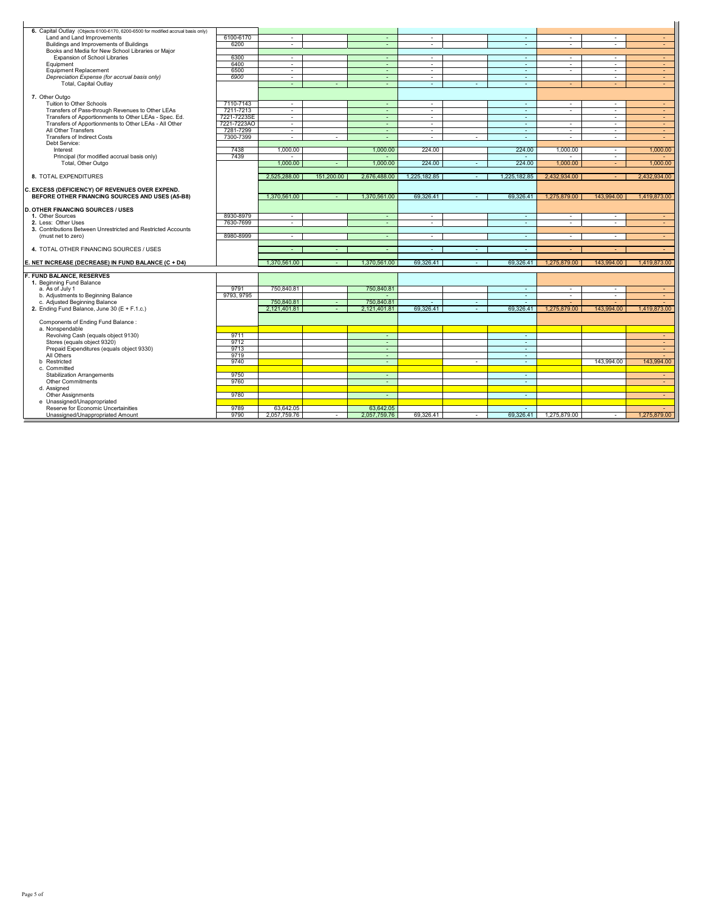| 6. Capital Outlay (Objects 6100-6170, 6200-6500 for modified accrual basis only) |              |                           |            |                           |                |                |                     |                    |              |                                |
|----------------------------------------------------------------------------------|--------------|---------------------------|------------|---------------------------|----------------|----------------|---------------------|--------------------|--------------|--------------------------------|
| Land and Land Improvements                                                       | 6100-6170    | $\sim$                    |            | $\sim$                    | $\sim$         |                | $\sim$              | $\sim$             | $\sim$       | $\sim$                         |
| Buildings and Improvements of Buildings                                          | 6200         | $\sim$                    |            | $\sim$                    | $\sim$         |                | $\omega$            | $\sim$             | $\sim$       | ÷                              |
| Books and Media for New School Libraries or Major                                |              |                           |            |                           |                |                |                     |                    |              |                                |
| Expansion of School Libraries                                                    | 6300         | $\sim$                    |            | $\sim$                    | $\sim$         |                | $\sim$              | $\sim$             | $\sim$       | $\sim$                         |
| Equipment                                                                        | 6400         | $\sim$                    |            | $\sim$                    | $\sim$         |                | $\sim$              | $\sim$             | $\sim$       | $\blacksquare$                 |
| Equipment Replacement                                                            | 6500         | $\sim$                    |            | $\sim$                    | $\sim$         |                | $\sim$              | $\sim$             | $\sim$       | $\sim$                         |
| Depreciation Expense (for accrual basis only)                                    | 6900         | $\sim$                    |            | $\sim$                    | $\sim$         |                | $\sim$              |                    | $\sim$       | $\sim$                         |
| Total, Capital Outlay                                                            |              | $\sim$                    | $\sim$     | $\sim$                    | $\sim$         | $\sim$         | $\sim$              | $\sim$             | $\sim$       | $\sim$                         |
| 7. Other Outgo                                                                   |              |                           |            |                           |                |                |                     |                    |              |                                |
| Tuition to Other Schools                                                         | 7110-7143    | $\sim$                    |            | $\sim$                    | $\sim$         |                | $\sim$              | $\sim$             | $\sim$       | $\sim$                         |
| Transfers of Pass-through Revenues to Other LEAs                                 | 7211-7213    | $\sim$                    |            | $\sim$                    | $\sim$         |                | $\sim$              | $\sim$             | $\sim$       | $\sim$                         |
| Transfers of Apportionments to Other LEAs - Spec. Ed.                            | 7221-7223SE  | $\sim$                    |            | $\sim$                    | $\sim$         |                | $\sim$              |                    | $\sim$       | $\sim$                         |
| Transfers of Apportionments to Other LEAs - All Other                            | 7221-7223AO  | $\sim$                    |            | $\sim$                    | $\sim$         |                | $\omega$            | $\sim$             | $\sim$       | $\sim$                         |
| All Other Transfers                                                              | 7281-7299    | $\sim$                    |            | $\sim$                    | $\sim$         |                | $\sim$              | $\sim$             | $\sim$       | $\sim$                         |
| <b>Transfers of Indirect Costs</b>                                               | 7300-7399    | $\sim$                    | $\bar{a}$  | $\omega$                  | $\blacksquare$ | $\sim$         | $\omega$            | $\sim$             | $\sim$       | $\blacksquare$                 |
| Debt Service:                                                                    |              |                           |            |                           |                |                |                     |                    |              |                                |
| Interest                                                                         | 7438         | 1.000.00                  |            | 1,000.00                  | 224.00         |                | 224.00              | 1.000.00           | $\sim$       | 1,000.00                       |
| Principal (for modified accrual basis only)                                      | 7439         | 1.000.00                  | ÷          | $\sim$<br>1.000.00        | 224.00         | $\sim$         | $\sim$<br>224.00    | $\sim$<br>1.000.00 | $\sim$<br>÷. | 1.000.00                       |
| Total, Other Outgo                                                               |              |                           |            |                           |                |                |                     |                    |              |                                |
| 8. TOTAL EXPENDITURES                                                            |              | 2.525.288.00              | 151,200.00 | 2,676,488.00              | 1.225.182.85   | $\sim$         | 1,225,182.85        | 2.432.934.00       | $\sim$       | 2.432.934.00                   |
|                                                                                  |              |                           |            |                           |                |                |                     |                    |              |                                |
| C. EXCESS (DEFICIENCY) OF REVENUES OVER EXPEND.                                  |              |                           |            |                           |                |                |                     |                    |              |                                |
| BEFORE OTHER FINANCING SOURCES AND USES (A5-B8)                                  |              | 1.370.561.00              |            | 1.370.561.00              | 69.326.41      | ÷              | 69.326.41           | 1,275,879.00       | 143.994.00   | 1.419.873.00                   |
|                                                                                  |              |                           |            |                           |                |                |                     |                    |              |                                |
| <b>D. OTHER FINANCING SOURCES / USES</b>                                         |              |                           |            |                           |                |                |                     |                    |              |                                |
| 1. Other Sources                                                                 | 8930-8979    | $\sim$                    |            | $\sim$                    | $\overline{a}$ |                | $\sim$              | $\sim$             | $\sim$       | $\sim$                         |
| 2. Less: Other Uses                                                              | 7630-7699    | $\sim$                    |            | $\sim$                    | $\sim$         |                | $\sim$              | $\sim$             | $\sim$       | $\sim$                         |
| 3. Contributions Between Unrestricted and Restricted Accounts                    |              |                           |            |                           |                |                |                     |                    |              |                                |
| (must net to zero)                                                               | 8980-8999    | $\sim$                    |            | $\sim$                    | $\sim$         |                | $\sim$              | $\sim$             | $\sim$       | $\sim$                         |
| 4. TOTAL OTHER FINANCING SOURCES / USES                                          |              |                           |            |                           |                | $\sim$         |                     |                    |              |                                |
|                                                                                  |              |                           |            |                           |                |                |                     |                    |              |                                |
|                                                                                  |              |                           |            |                           | $\sim$         |                | ÷.                  |                    | ÷            |                                |
|                                                                                  |              |                           |            |                           |                |                |                     |                    |              |                                |
| E. NET INCREASE (DECREASE) IN FUND BALANCE (C + D4)                              |              | 1.370.561.00              |            | 1.370.561.00              | 69.326.41      | $\sim$         | 69.326.41           | 1,275,879.00       | 143.994.00   | 1.419.873.00                   |
| F. FUND BALANCE, RESERVES                                                        |              |                           |            |                           |                |                |                     |                    |              |                                |
| 1. Beginning Fund Balance                                                        |              |                           |            |                           |                |                |                     |                    |              |                                |
| a. As of July 1                                                                  | 9791         | 750,840.81                |            | 750,840.81                |                |                | $\sim$              | $\sim$             | $\sim$       | $\sim$                         |
| b. Adjustments to Beginning Balance                                              | 9793, 9795   |                           |            | $\sim$                    |                |                | $\sim$              | $\sim$             | $\sim$       | $\sim$                         |
| c. Adiusted Beginning Balance                                                    |              | 750.840.81                |            | 750,840.81                | $\sim$         | $\overline{a}$ | $\sim$              |                    |              |                                |
| 2. Ending Fund Balance, June 30 (E + F.1.c.)                                     |              | 2.121.401.81              |            | 2.121.401.81              | 69.326.41      | $\sim$         | 69.326.41           | 1.275.879.00       | 143,994.00   | 1.419.873.00                   |
|                                                                                  |              |                           |            |                           |                |                |                     |                    |              |                                |
| Components of Ending Fund Balance:                                               |              |                           |            |                           |                |                |                     |                    |              |                                |
| a. Nonspendable                                                                  |              |                           |            |                           |                |                |                     |                    |              |                                |
| Revolving Cash (equals object 9130)                                              | 9711         |                           |            | $\sim$<br>$\sim$          |                |                | $\sim$<br>$\omega$  |                    |              | $\sim$<br>$\sim$               |
| Stores (equals object 9320)                                                      | 9712<br>9713 |                           |            | $\sim$                    |                |                | $\sim$              |                    |              | $\sim$                         |
| Prepaid Expenditures (equals object 9330)<br>All Others                          | 9719         |                           |            | $\sim$                    |                |                | $\sim$              |                    |              |                                |
| <b>b</b> Restricted                                                              | 9740         |                           |            | $\omega$                  |                | $\sim$         | $\sim$              |                    | 143,994.00   | 143,994.00                     |
| c. Committed                                                                     |              |                           |            |                           |                |                |                     |                    |              |                                |
| <b>Stabilization Arrangements</b>                                                | 9750         |                           |            | $\sim$                    |                |                | $\blacksquare$      |                    |              | $\sim$                         |
| Other Commitments                                                                | 9760         |                           |            | $\sim$                    |                |                | $\sim$              |                    |              | $\sim$                         |
| d. Assigned                                                                      |              |                           |            |                           |                |                |                     |                    |              |                                |
| Other Assignments                                                                | 9780         |                           |            | $\omega$                  |                |                | $\omega$            |                    |              | $\sim$                         |
| e Unassigned/Unappropriated                                                      |              |                           |            |                           |                |                |                     |                    |              |                                |
| Reserve for Economic Uncertainities<br>Unassigned/Unappropriated Amount          | 9789<br>9790 | 63.642.05<br>2.057.759.76 | $\sim$     | 63.642.05<br>2.057.759.76 | 69.326.41      | $\sim$         | $\sim$<br>69.326.41 | 1.275.879.00       | $\sim$       | $\overline{a}$<br>1,275,879.00 |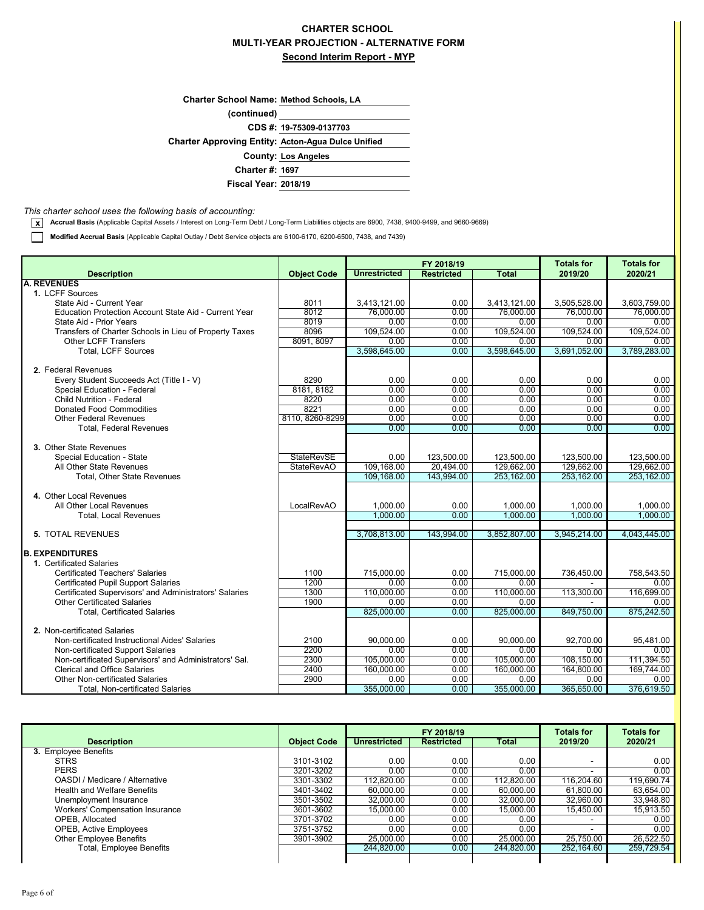## **MULTI-YEAR PROJECTION - ALTERNATIVE FORM Second Interim Report - MYP CHARTER SCHOOL**

| <b>Charter School Name: Method Schools, LA</b> |  |
|------------------------------------------------|--|
|                                                |  |

**(continued)**

**CDS #: 19-75309-0137703**

**Acton-Agua Dulce Unified Charter Approving Entity:**

**County: Los Angeles**

**Charter #: 1697**

**Fiscal Year: 2018/19**

#### *This charter school uses the following basis of accounting:*

**x Accrual Basis** (Applicable Capital Assets / Interest on Long-Term Debt / Long-Term Liabilities objects are 6900, 7438, 9400-9499, and 9660-9669)

**Modified Accrual Basis** (Applicable Capital Outlay / Debt Service objects are 6100-6170, 6200-6500, 7438, and 7439)

|                                                                                             |                    | FY 2018/19          |                   | <b>Totals for</b> | <b>Totals for</b>  |                    |
|---------------------------------------------------------------------------------------------|--------------------|---------------------|-------------------|-------------------|--------------------|--------------------|
| <b>Description</b>                                                                          | <b>Object Code</b> | <b>Unrestricted</b> | <b>Restricted</b> | <b>Total</b>      | 2019/20            | 2020/21            |
| <b>A. REVENUES</b>                                                                          |                    |                     |                   |                   |                    |                    |
| 1. LCFF Sources                                                                             |                    |                     |                   |                   |                    |                    |
| State Aid - Current Year                                                                    | 8011               | 3,413,121.00        | 0.00              | 3,413,121.00      | 3,505,528.00       | 3,603,759.00       |
| Education Protection Account State Aid - Current Year                                       | 8012               | 76,000.00           | 0.00              | 76,000.00         | 76,000.00          | 76,000.00          |
| State Aid - Prior Years                                                                     | 8019               | 0.00                | 0.00              | 0.00              | 0.00               | 0.00               |
| Transfers of Charter Schools in Lieu of Property Taxes                                      | 8096               | 109,524.00          | 0.00              | 109,524.00        | 109,524.00         | 109,524.00         |
| <b>Other LCFF Transfers</b>                                                                 | 8091, 8097         | 0.00                | 0.00              | 0.00              | 0.00               | 0.00               |
| <b>Total. LCFF Sources</b>                                                                  |                    | 3,598,645.00        | 0.00              | 3,598,645.00      | 3.691.052.00       | 3,789,283.00       |
|                                                                                             |                    |                     |                   |                   |                    |                    |
| 2. Federal Revenues                                                                         |                    |                     |                   |                   |                    |                    |
| Every Student Succeeds Act (Title I - V)                                                    | 8290               | 0.00                | 0.00              | 0.00              | 0.00               | 0.00               |
| Special Education - Federal                                                                 | 8181, 8182         | 0.00                | 0.00              | 0.00              | 0.00               | 0.00               |
| <b>Child Nutrition - Federal</b>                                                            | 8220               | 0.00                | 0.00              | 0.00              | 0.00               | 0.00               |
| <b>Donated Food Commodities</b>                                                             | 8221               | 0.00                | 0.00              | 0.00              | 0.00               | 0.00               |
| <b>Other Federal Revenues</b>                                                               | 8110, 8260-8299    | 0.00                | 0.00              | 0.00              | 0.00               | 0.00               |
| <b>Total, Federal Revenues</b>                                                              |                    | 0.00                | 0.00              | 0.00              | 0.00               | 0.00               |
|                                                                                             |                    |                     |                   |                   |                    |                    |
| 3. Other State Revenues                                                                     |                    |                     |                   |                   |                    |                    |
| Special Education - State                                                                   | <b>StateRevSE</b>  | 0.00                | 123.500.00        | 123.500.00        | 123.500.00         | 123.500.00         |
| All Other State Revenues                                                                    | <b>StateRevAO</b>  | 109,168.00          | 20.494.00         | 129,662.00        | 129.662.00         | 129,662.00         |
| Total, Other State Revenues                                                                 |                    | 109,168.00          | 143,994.00        | 253,162.00        | 253,162.00         | 253,162.00         |
|                                                                                             |                    |                     |                   |                   |                    |                    |
| 4. Other Local Revenues                                                                     |                    |                     |                   |                   |                    |                    |
| All Other Local Revenues                                                                    | LocalRevAO         | 1,000.00            | 0.00              | 1,000.00          | 1,000.00           | 1,000.00           |
| <b>Total, Local Revenues</b>                                                                |                    | 1.000.00            | 0.00              | 1.000.00          | 1.000.00           | 1.000.00           |
|                                                                                             |                    |                     |                   |                   |                    |                    |
| <b>5. TOTAL REVENUES</b>                                                                    |                    | 3,708,813.00        | 143.994.00        | 3,852,807.00      | 3,945,214.00       | 4,043,445.00       |
|                                                                                             |                    |                     |                   |                   |                    |                    |
| <b>B. EXPENDITURES</b>                                                                      |                    |                     |                   |                   |                    |                    |
| 1. Certificated Salaries                                                                    |                    |                     |                   |                   |                    |                    |
| <b>Certificated Teachers' Salaries</b>                                                      | 1100<br>1200       | 715,000.00          | 0.00              | 715.000.00        | 736.450.00         | 758,543.50         |
| <b>Certificated Pupil Support Salaries</b>                                                  |                    | 0.00                | 0.00              | 0.00              |                    | 0.00               |
| Certificated Supervisors' and Administrators' Salaries                                      | 1300               | 110,000.00          | 0.00              | 110,000.00        | 113,300.00         | 116,699.00         |
| <b>Other Certificated Salaries</b>                                                          | 1900               | 0.00                | 0.00              | 0.00              |                    | 0.00               |
| <b>Total, Certificated Salaries</b>                                                         |                    | 825,000.00          | 0.00              | 825,000.00        | 849,750.00         | 875,242.50         |
| 2. Non-certificated Salaries                                                                |                    |                     |                   |                   |                    |                    |
| Non-certificated Instructional Aides' Salaries                                              | 2100               | 90,000.00           | 0.00              | 90,000.00         | 92,700.00          | 95,481.00          |
|                                                                                             | 2200               | 0.00                | 0.00              | 0.00              | 0.00               | 0.00               |
| Non-certificated Support Salaries<br>Non-certificated Supervisors' and Administrators' Sal. | 2300               | 105,000.00          | 0.00              | 105,000.00        | 108,150.00         | 111,394.50         |
| <b>Clerical and Office Salaries</b>                                                         | 2400               | 160,000.00          | 0.00              | 160,000.00        | 164,800.00         | 169,744.00         |
| <b>Other Non-certificated Salaries</b>                                                      | 2900               | 0.00                | 0.00              | 0.00              |                    |                    |
| Total, Non-certificated Salaries                                                            |                    | 355,000.00          | 0.00              | 355,000.00        | 0.00<br>365,650.00 | 0.00<br>376,619.50 |
|                                                                                             |                    |                     |                   |                   |                    |                    |

|                                    |                    |                     | FY 2018/19        |            | <b>Totals for</b>        | <b>Totals for</b> |
|------------------------------------|--------------------|---------------------|-------------------|------------|--------------------------|-------------------|
| <b>Description</b>                 | <b>Object Code</b> | <b>Unrestricted</b> | <b>Restricted</b> | Total      | 2019/20                  | 2020/21           |
| 3. Employee Benefits               |                    |                     |                   |            |                          |                   |
| <b>STRS</b>                        | 3101-3102          | 0.00                | 0.00              | 0.00       | $\overline{\phantom{a}}$ | 0.00              |
| <b>PERS</b>                        | 3201-3202          | 0.00                | 0.00              | 0.00       |                          | 0.00              |
| OASDI / Medicare / Alternative     | 3301-3302          | 112,820.00          | 0.00              | 112,820.00 | 116,204.60               | 119,690.74        |
| <b>Health and Welfare Benefits</b> | 3401-3402          | 60,000.00           | 0.00              | 60,000.00  | 61,800.00                | 63,654.00         |
| Unemployment Insurance             | 3501-3502          | 32,000.00           | 0.00              | 32,000.00  | 32,960.00                | 33,948.80         |
| Workers' Compensation Insurance    | 3601-3602          | 15.000.00           | 0.00              | 15.000.00  | 15,450.00                | 15,913.50         |
| OPEB, Allocated                    | 3701-3702          | 0.00                | 0.00              | 0.00       |                          | 0.00              |
| <b>OPEB, Active Employees</b>      | 3751-3752          | 0.00                | 0.00              | 0.00       |                          | 0.00              |
| Other Employee Benefits            | 3901-3902          | 25.000.00           | 0.00              | 25,000.00  | 25,750.00                | 26,522.50         |
| Total, Employee Benefits           |                    | 244.820.00          | 0.00              | 244.820.00 | 252.164.60               | 259,729.54        |
|                                    |                    |                     |                   |            |                          |                   |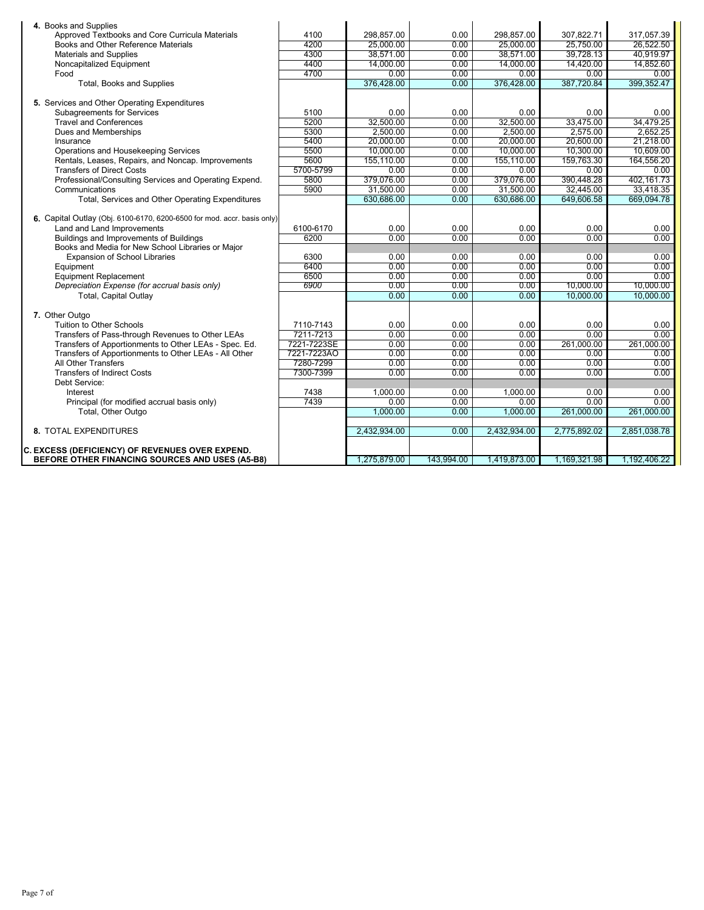| 4. Books and Supplies                                                   |             |              |            |              |              |              |
|-------------------------------------------------------------------------|-------------|--------------|------------|--------------|--------------|--------------|
| Approved Textbooks and Core Curricula Materials                         | 4100        | 298.857.00   | 0.00       | 298.857.00   | 307,822.71   | 317,057.39   |
| Books and Other Reference Materials                                     | 4200        | 25,000.00    | 0.00       | 25,000.00    | 25,750.00    | 26,522.50    |
| <b>Materials and Supplies</b>                                           | 4300        | 38,571.00    | 0.00       | 38,571.00    | 39,728.13    | 40.919.97    |
| Noncapitalized Equipment                                                | 4400        | 14.000.00    | 0.00       | 14.000.00    | 14.420.00    | 14,852.60    |
| Food                                                                    | 4700        | 0.00         | 0.00       | 0.00         | 0.00         | 0.00         |
| Total, Books and Supplies                                               |             | 376,428.00   | 0.00       | 376,428.00   | 387,720.84   | 399,352.47   |
|                                                                         |             |              |            |              |              |              |
| 5. Services and Other Operating Expenditures                            |             |              |            |              |              |              |
| <b>Subagreements for Services</b>                                       | 5100        | 0.00         | 0.00       | 0.00         | 0.00         | 0.00         |
| <b>Travel and Conferences</b>                                           | 5200        | 32,500.00    | 0.00       | 32,500.00    | 33,475.00    | 34,479.25    |
| Dues and Memberships                                                    | 5300        | 2.500.00     | 0.00       | 2.500.00     | 2.575.00     | 2.652.25     |
| Insurance                                                               | 5400        | 20,000.00    | 0.00       | 20,000.00    | 20,600.00    | 21,218.00    |
| Operations and Housekeeping Services                                    | 5500        | 10,000.00    | 0.00       | 10.000.00    | 10,300.00    | 10.609.00    |
| Rentals, Leases, Repairs, and Noncap. Improvements                      | 5600        | 155,110.00   | 0.00       | 155,110.00   | 159,763.30   | 164,556.20   |
| <b>Transfers of Direct Costs</b>                                        | 5700-5799   | 0.00         | 0.00       | 0.00         | 0.00         | 0.00         |
| Professional/Consulting Services and Operating Expend.                  | 5800        | 379,076.00   | 0.00       | 379,076.00   | 390,448.28   | 402,161.73   |
| Communications                                                          | 5900        | 31,500.00    | 0.00       | 31,500.00    | 32,445.00    | 33,418.35    |
| Total, Services and Other Operating Expenditures                        |             | 630.686.00   | 0.00       | 630.686.00   | 649,606.58   | 669,094.78   |
| 6. Capital Outlay (Obj. 6100-6170, 6200-6500 for mod. accr. basis only) |             |              |            |              |              |              |
| Land and Land Improvements                                              | 6100-6170   | 0.00         | 0.00       | 0.00         | 0.00         | 0.00         |
| Buildings and Improvements of Buildings                                 | 6200        | 0.00         | 0.00       | 0.00         | 0.00         | 0.00         |
| Books and Media for New School Libraries or Major                       |             |              |            |              |              |              |
| <b>Expansion of School Libraries</b>                                    | 6300        | 0.00         | 0.00       | 0.00         | 0.00         | 0.00         |
| Equipment                                                               | 6400        | 0.00         | 0.00       | 0.00         | 0.00         | 0.00         |
| <b>Equipment Replacement</b>                                            | 6500        | 0.00         | 0.00       | 0.00         | 0.00         | 0.00         |
| Depreciation Expense (for accrual basis only)                           | 6900        | 0.00         | 0.00       | 0.00         | 10,000.00    | 10,000.00    |
| Total, Capital Outlay                                                   |             | 0.00         | 0.00       | 0.00         | 10.000.00    | 10.000.00    |
|                                                                         |             |              |            |              |              |              |
| 7. Other Outgo                                                          |             |              |            |              |              |              |
| <b>Tuition to Other Schools</b>                                         | 7110-7143   | 0.00         | 0.00       | 0.00         | 0.00         | 0.00         |
| Transfers of Pass-through Revenues to Other LEAs                        | 7211-7213   | 0.00         | 0.00       | 0.00         | 0.00         | 0.00         |
| Transfers of Apportionments to Other LEAs - Spec. Ed.                   | 7221-7223SE | 0.00         | 0.00       | 0.00         | 261,000.00   | 261,000.00   |
| Transfers of Apportionments to Other LEAs - All Other                   | 7221-7223AO | 0.00         | 0.00       | 0.00         | 0.00         | 0.00         |
| All Other Transfers                                                     | 7280-7299   | 0.00         | 0.00       | 0.00         | 0.00         | 0.00         |
| <b>Transfers of Indirect Costs</b>                                      | 7300-7399   | 0.00         | 0.00       | 0.00         | 0.00         | 0.00         |
| Debt Service:                                                           |             |              |            |              |              |              |
| Interest                                                                | 7438        | 1,000.00     | 0.00       | 1,000.00     | 0.00         | 0.00         |
| Principal (for modified accrual basis only)                             | 7439        | 0.00         | 0.00       | 0.00         | 0.00         | 0.00         |
| Total, Other Outgo                                                      |             | 1,000.00     | 0.00       | 1,000.00     | 261,000.00   | 261,000.00   |
|                                                                         |             |              |            |              |              |              |
| 8. TOTAL EXPENDITURES                                                   |             | 2,432,934.00 | 0.00       | 2,432,934.00 | 2,775,892.02 | 2,851,038.78 |
|                                                                         |             |              |            |              |              |              |
| <b>C. EXCESS (DEFICIENCY) OF REVENUES OVER EXPEND.</b>                  |             |              |            |              |              |              |
| BEFORE OTHER FINANCING SOURCES AND USES (A5-B8)                         |             | 1.275.879.00 | 143.994.00 | 1.419.873.00 | 1.169.321.98 | 1.192.406.22 |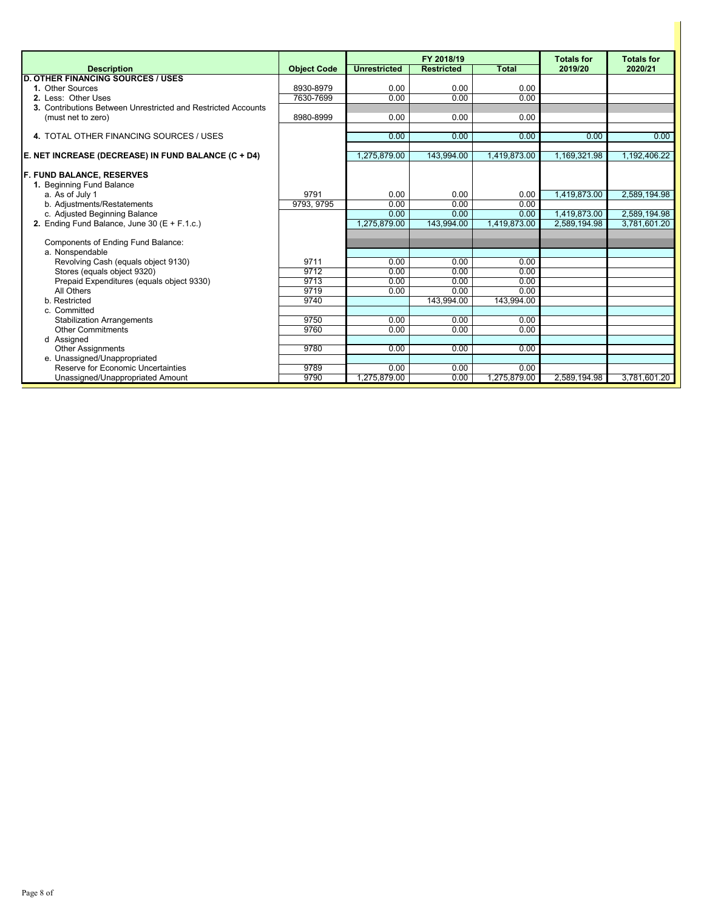|                                                               |                    |                     | FY 2018/19        |              | <b>Totals for</b> | <b>Totals for</b> |
|---------------------------------------------------------------|--------------------|---------------------|-------------------|--------------|-------------------|-------------------|
| <b>Description</b>                                            | <b>Object Code</b> | <b>Unrestricted</b> | <b>Restricted</b> | Total        | 2019/20           | 2020/21           |
| <b>D. OTHER FINANCING SOURCES / USES</b>                      |                    |                     |                   |              |                   |                   |
| 1. Other Sources                                              | 8930-8979          | 0.00                | 0.00              | 0.00         |                   |                   |
| 2. Less: Other Uses                                           | 7630-7699          | 0.00                | 0.00              | 0.00         |                   |                   |
| 3. Contributions Between Unrestricted and Restricted Accounts |                    |                     |                   |              |                   |                   |
| (must net to zero)                                            | 8980-8999          | 0.00                | 0.00              | 0.00         |                   |                   |
|                                                               |                    |                     |                   |              |                   |                   |
| 4. TOTAL OTHER FINANCING SOURCES / USES                       |                    | 0.00                | 0.00              | 0.00         | 0.00              | 0.00              |
| E. NET INCREASE (DECREASE) IN FUND BALANCE (C + D4)           |                    | 1,275,879.00        | 143,994.00        | 1,419,873.00 | 1,169,321.98      | 1,192,406.22      |
|                                                               |                    |                     |                   |              |                   |                   |
| <b>F. FUND BALANCE, RESERVES</b>                              |                    |                     |                   |              |                   |                   |
| 1. Beginning Fund Balance                                     |                    |                     |                   |              |                   |                   |
| a. As of July 1                                               | 9791               | 0.00                | 0.00              | 0.00         | 1,419,873.00      | 2,589,194.98      |
| b. Adjustments/Restatements                                   | 9793, 9795         | 0.00                | 0.00              | 0.00         |                   |                   |
| c. Adjusted Beginning Balance                                 |                    | 0.00                | 0.00              | 0.00         | 1,419,873.00      | 2,589,194.98      |
| 2. Ending Fund Balance, June 30 ( $E + F.1.c.$ )              |                    | 1,275,879.00        | 143,994.00        | 1.419.873.00 | 2.589.194.98      | 3.781.601.20      |
|                                                               |                    |                     |                   |              |                   |                   |
| Components of Ending Fund Balance:                            |                    |                     |                   |              |                   |                   |
| a. Nonspendable                                               |                    |                     |                   |              |                   |                   |
| Revolving Cash (equals object 9130)                           | 9711               | 0.00                | 0.00              | 0.00         |                   |                   |
| Stores (equals object 9320)                                   | 9712               | 0.00                | 0.00              | 0.00         |                   |                   |
| Prepaid Expenditures (equals object 9330)                     | 9713               | 0.00                | 0.00              | 0.00         |                   |                   |
| All Others                                                    | 9719               | 0.00                | 0.00              | 0.00         |                   |                   |
| b. Restricted                                                 | 9740               |                     | 143,994.00        | 143,994.00   |                   |                   |
| c. Committed                                                  |                    |                     |                   |              |                   |                   |
| <b>Stabilization Arrangements</b>                             | 9750               | 0.00                | 0.00              | 0.00         |                   |                   |
| <b>Other Commitments</b>                                      | 9760               | 0.00                | 0.00              | 0.00         |                   |                   |
| d Assigned                                                    |                    |                     |                   |              |                   |                   |
| <b>Other Assignments</b>                                      | 9780               | 0.00                | 0.00              | 0.00         |                   |                   |
| e. Unassigned/Unappropriated                                  |                    |                     |                   |              |                   |                   |
| Reserve for Economic Uncertainties                            | 9789               | 0.00                | 0.00              | 0.00         |                   |                   |
| Unassigned/Unappropriated Amount                              | 9790               | 1,275,879.00        | 0.00              | 1,275,879.00 | 2,589,194.98      | 3,781,601.20      |